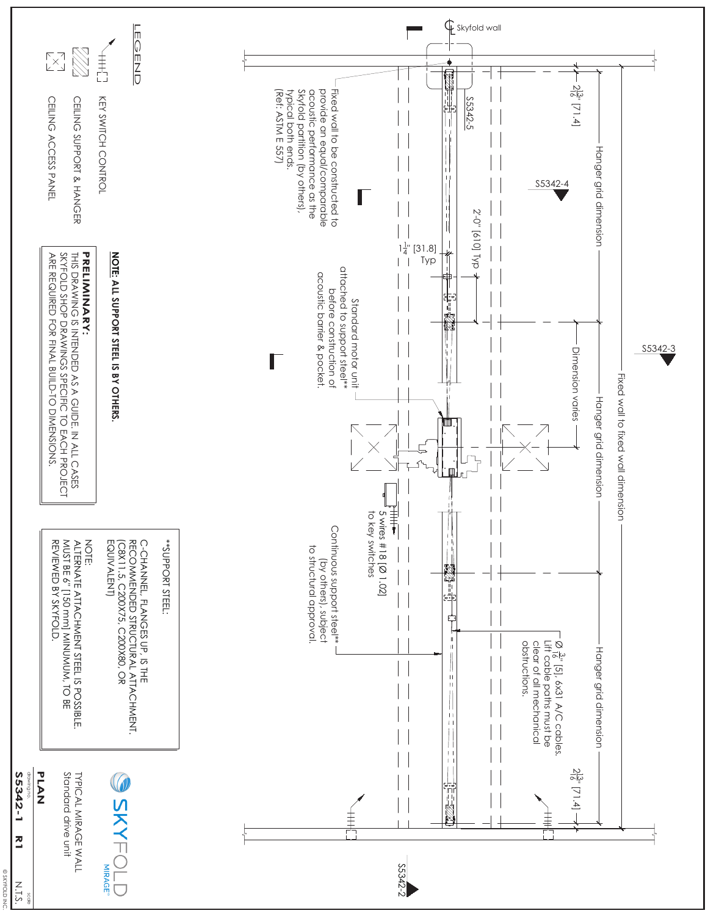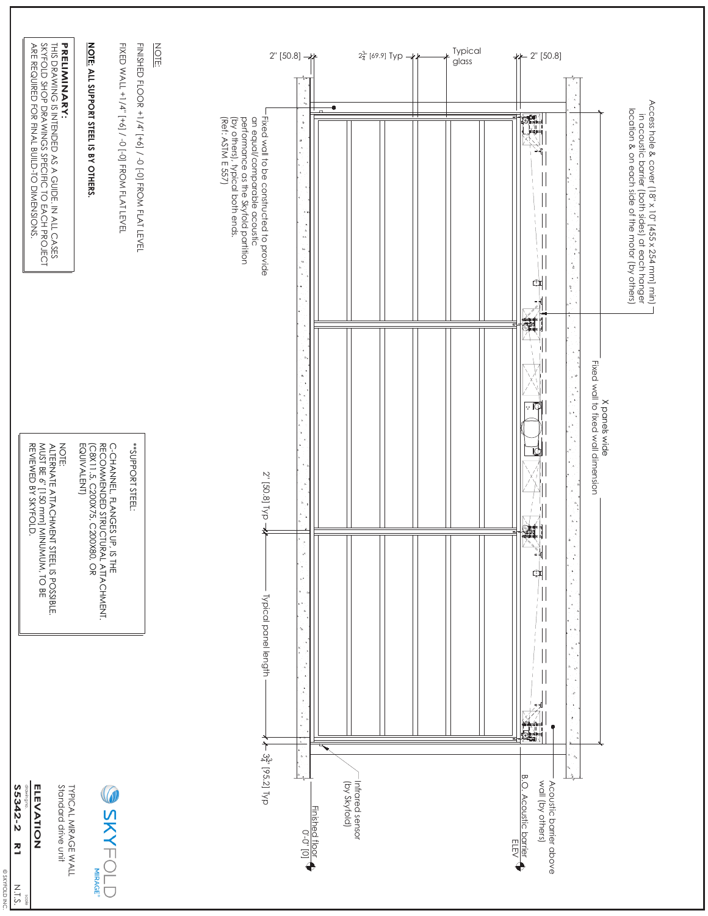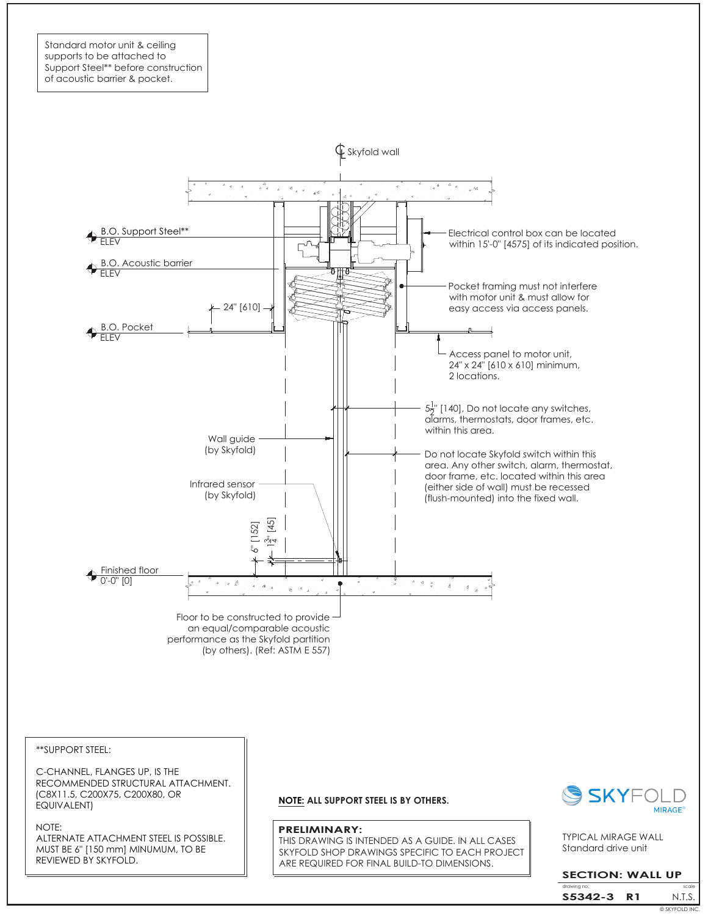Standard motor unit & ceiling supports to be attached to Support Steel\*\* before construction of acoustic barrier & pocket.



\*\*SUPPORT STEEL:

C-CHANNEL, FLANGES UP, IS THE RECOMMENDED STRUCTURAL ATTACHMENT. (C8X11.5, C200X75, C200X80, OR EQUIVALENT)

NOTE:

ALTERNATE ATTACHMENT STEEL IS POSSIBLE. MUST BE 6" [150 mm] MINUMUM, TO BE REVIEWED BY SKYFOLD.

**NOTE: ALL SUPPORT STEEL IS BY OTHERS.**

#### **PRELIMINARY:**

THIS DRAWING IS INTENDED AS A GUIDE. IN ALL CASES SKYFOLD SHOP DRAWINGS SPECIFIC TO EACH PROJECT ARE REQUIRED FOR FINAL BUILD-TO DIMENSIONS.



Standard drive unit TYPICAL MIRAGE WALL

## **SECTION: WALL UP**

drawing no. Scale is a set of the scale scale in the scale scale N.T.S. **S5342-3 R1** © SKYFOLD INC.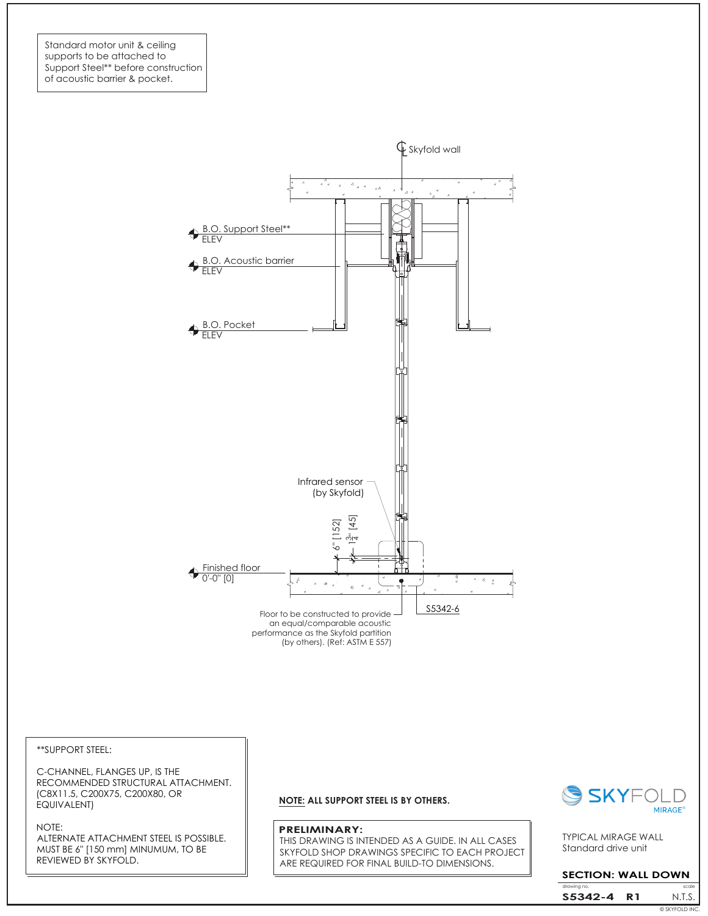Standard motor unit & ceiling supports to be attached to Support Steel\*\* before construction of acoustic barrier & pocket.



\*\*SUPPORT STEEL:

C-CHANNEL, FLANGES UP, IS THE RECOMMENDED STRUCTURAL ATTACHMENT. (C8X11.5, C200X75, C200X80, OR EQUIVALENT)

#### NOTE:

ALTERNATE ATTACHMENT STEEL IS POSSIBLE. MUST BE 6" [150 mm] MINUMUM, TO BE REVIEWED BY SKYFOLD.

### **NOTE: ALL SUPPORT STEEL IS BY OTHERS.**

#### **PRELIMINARY:**

THIS DRAWING IS INTENDED AS A GUIDE. IN ALL CASES SKYFOLD SHOP DRAWINGS SPECIFIC TO EACH PROJECT ARE REQUIRED FOR FINAL BUILD-TO DIMENSIONS.



Standard drive unit TYPICAL MIRAGE WALL

## **SECTION: WALL DOWN**

drawing N.T.S. **S5342-4 R1** © SKYFOLD INC.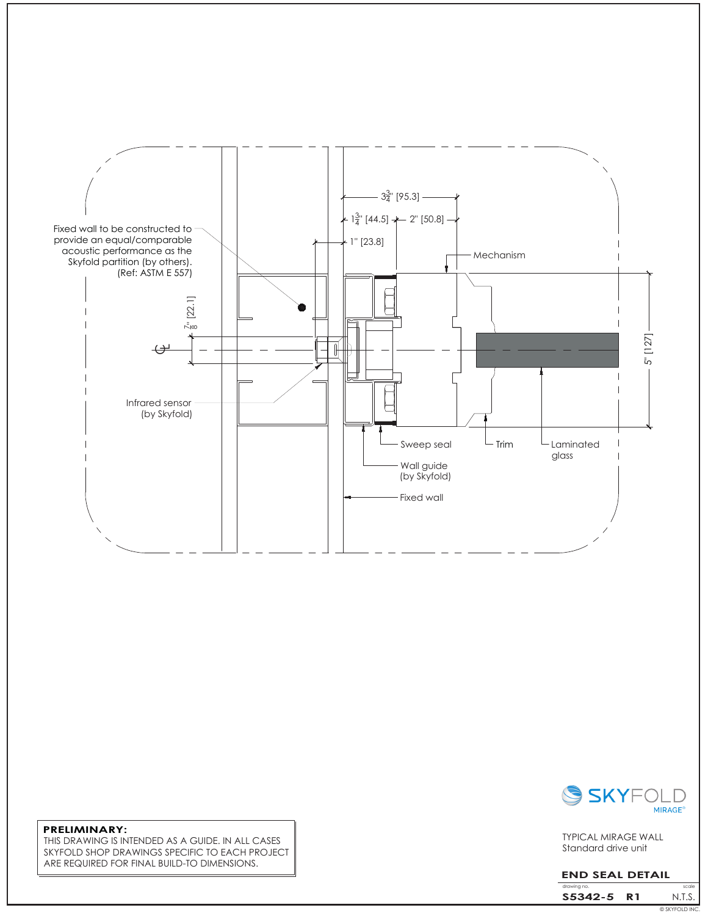



Standard drive unit TYPICAL MIRAGE WALL

# **END SEAL DETAIL**

© SKYFOLD INC. drawing i N.T.S. **S5342-5 R1**

**PRELIMINARY:** THIS DRAWING IS INTENDED AS A GUIDE. IN ALL CASES SKYFOLD SHOP DRAWINGS SPECIFIC TO EACH PROJECT ARE REQUIRED FOR FINAL BUILD-TO DIMENSIONS.